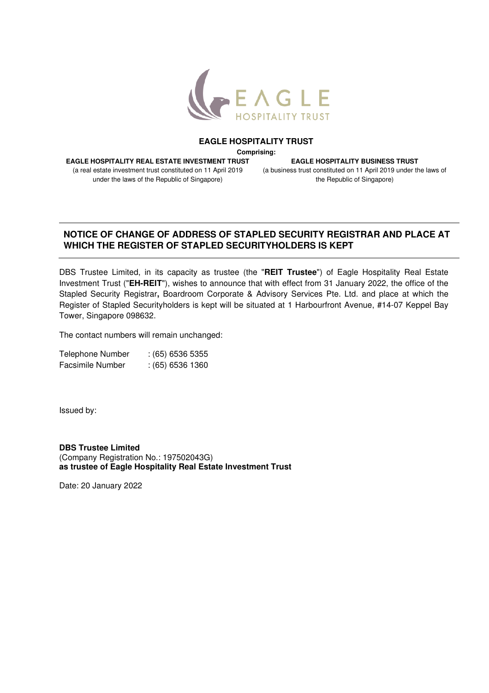

## **EAGLE HOSPITALITY TRUST**

**Comprising:** 

**EAGLE HOSPITALITY REAL ESTATE INVESTMENT TRUST** 

(a real estate investment trust constituted on 11 April 2019 under the laws of the Republic of Singapore)

**EAGLE HOSPITALITY BUSINESS TRUST**  (a business trust constituted on 11 April 2019 under the laws of the Republic of Singapore)

## **NOTICE OF CHANGE OF ADDRESS OF STAPLED SECURITY REGISTRAR AND PLACE AT WHICH THE REGISTER OF STAPLED SECURITYHOLDERS IS KEPT**

DBS Trustee Limited, in its capacity as trustee (the "**REIT Trustee**") of Eagle Hospitality Real Estate Investment Trust ("**EH-REIT**"), wishes to announce that with effect from 31 January 2022, the office of the Stapled Security Registrar**,** Boardroom Corporate & Advisory Services Pte. Ltd. and place at which the Register of Stapled Securityholders is kept will be situated at 1 Harbourfront Avenue, #14-07 Keppel Bay Tower, Singapore 098632.

The contact numbers will remain unchanged:

| <b>Telephone Number</b> | $(65)$ 6536 5355 |
|-------------------------|------------------|
| Facsimile Number        | $(65)$ 6536 1360 |

Issued by:

**DBS Trustee Limited**  (Company Registration No.: 197502043G) **as trustee of Eagle Hospitality Real Estate Investment Trust** 

Date: 20 January 2022